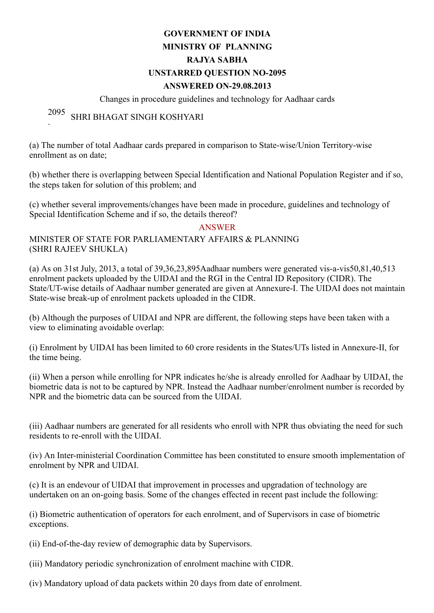# GOVERNMENT OF INDIA MINISTRY OF PLANNING RAJYA SABHA UNSTARRED QUESTION NO2095 ANSWERED ON29.08.2013

### Changes in procedure guidelines and technology for Aadhaar cards

#### 2095 . SHRI BHAGAT SINGH KOSHYARI

(a) The number of total Aadhaar cards prepared in comparison to State-wise/Union Territory-wise enrollment as on date;

(b) whether there is overlapping between Special Identification and National Population Register and if so, the steps taken for solution of this problem; and

(c) whether several improvements/changes have been made in procedure, guidelines and technology of Special Identification Scheme and if so, the details thereof?

### ANSWER

## MINISTER OF STATE FOR PARLIAMENTARY AFFAIRS & PLANNING (SHRI RAJEEV SHUKLA)

(a) As on 31st July, 2013, a total of  $39,36,23,895$ Aadhaar numbers were generated vis-a-vis50,81,40,513 enrolment packets uploaded by the UIDAI and the RGI in the Central ID Repository (CIDR). The State/UT-wise details of Aadhaar number generated are given at Annexure-I. The UIDAI does not maintain State-wise break-up of enrolment packets uploaded in the CIDR.

(b) Although the purposes of UIDAI and NPR are different, the following steps have been taken with a view to eliminating avoidable overlap:

(i) Enrolment by UIDAI has been limited to 60 crore residents in the States/UTs listed in Annexure-II, for the time being.

(ii) When a person while enrolling for NPR indicates he/she is already enrolled for Aadhaar by UIDAI, the biometric data is not to be captured by NPR. Instead the Aadhaar number/enrolment number is recorded by NPR and the biometric data can be sourced from the UIDAI.

(iii) Aadhaar numbers are generated for all residents who enroll with NPR thus obviating the need for such residents to re-enroll with the UIDAI.

(iv) An Inter-ministerial Coordination Committee has been constituted to ensure smooth implementation of enrolment by NPR and UIDAI.

(c) It is an endevour of UIDAI that improvement in processes and upgradation of technology are undertaken on an on-going basis. Some of the changes effected in recent past include the following:

(i) Biometric authentication of operators for each enrolment, and of Supervisors in case of biometric exceptions.

(ii) End-of-the-day review of demographic data by Supervisors.

(iii) Mandatory periodic synchronization of enrolment machine with CIDR.

(iv) Mandatory upload of data packets within 20 days from date of enrolment.